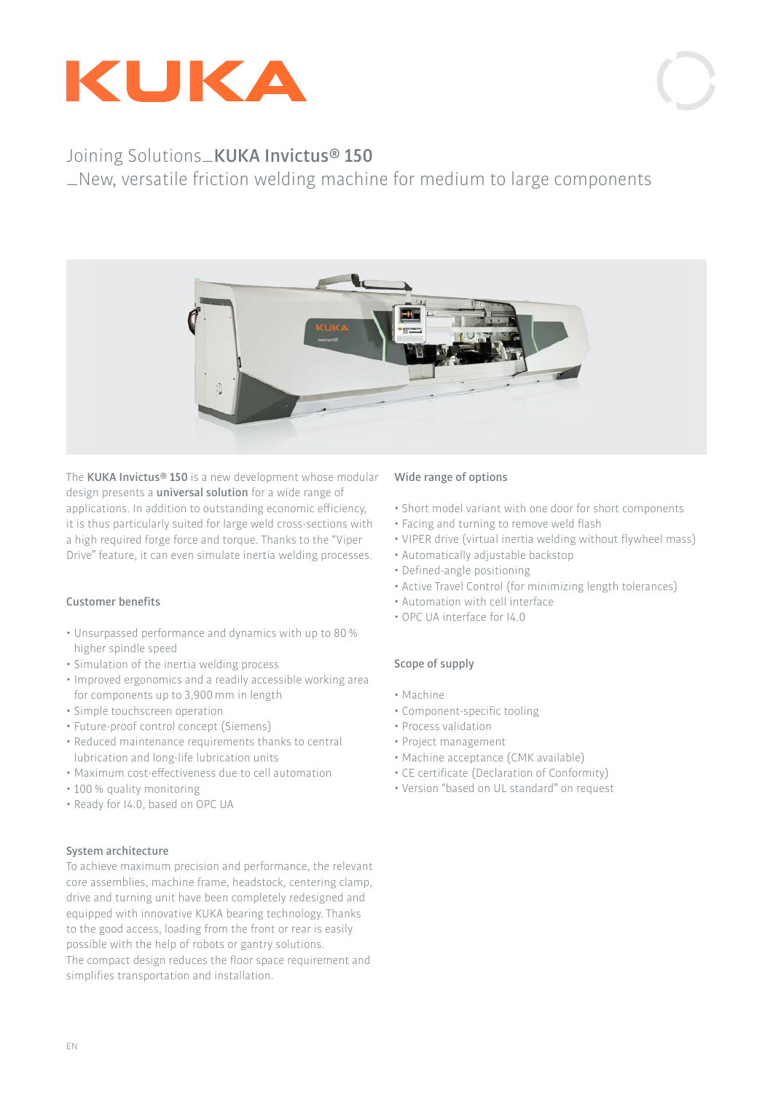



## Joining Solutions�**KUKA Invictus� 150**

�New, versatile friction welding machine for medium to large components



The **KUKA Invictus� 150** is a new development whose modular design presents a **universal solution** for a wide range of applications. In addition to outstanding economic efficiency, it is thus particularly suited for large weld cross-sections with a high required forge force and torque. Thanks to the "Viper Drive" feature, it can even simulate inertia welding processes.

### **Customer benefits**

- Unsurpassed performance and dynamics with up to 80% higher spindle speed
- Simulation of the inertia welding process
- Improved ergonomics and a readily accessible working area for components up to 3,900mm in length
- Simple touchscreen operation
- Future-proof control concept (Siemens)
- Reduced maintenance requirements thanks to central lubrication and long-life lubrication units
- Maximum cost-effectiveness due to cell automation
- 100% quality monitoring
- Ready for I4.0, based on OPC UA

### **System architecture**

To achieve maximum precision and performance, the relevant core assemblies, machine frame, headstock, centering clamp, drive and turning unit have been completely redesigned and equipped with innovative KUKA bearing technology. Thanks to the good access, loading from the front or rear is easily possible with the help of robots or gantry solutions. The compact design reduces the floor space requirement and simplifies transportation and installation.

### **Wide range of options**

- Short model variant with one door for short components
- Facing and turning to remove weld flash
- VIPER drive (virtual inertia welding without flywheel mass)
- Automatically adjustable backstop
- Defined-angle positioning
- Active Travel Control (for minimizing length tolerances)
- Automation with cell interface
- OPC UA interface for I4.0

### **Scope of supply**

- Machine
- Component-specific tooling
- Process validation
- Project management
- Machine acceptance (CMK available)
- CE certificate (Declaration of Conformity)
- Version "based on UL standard" on request